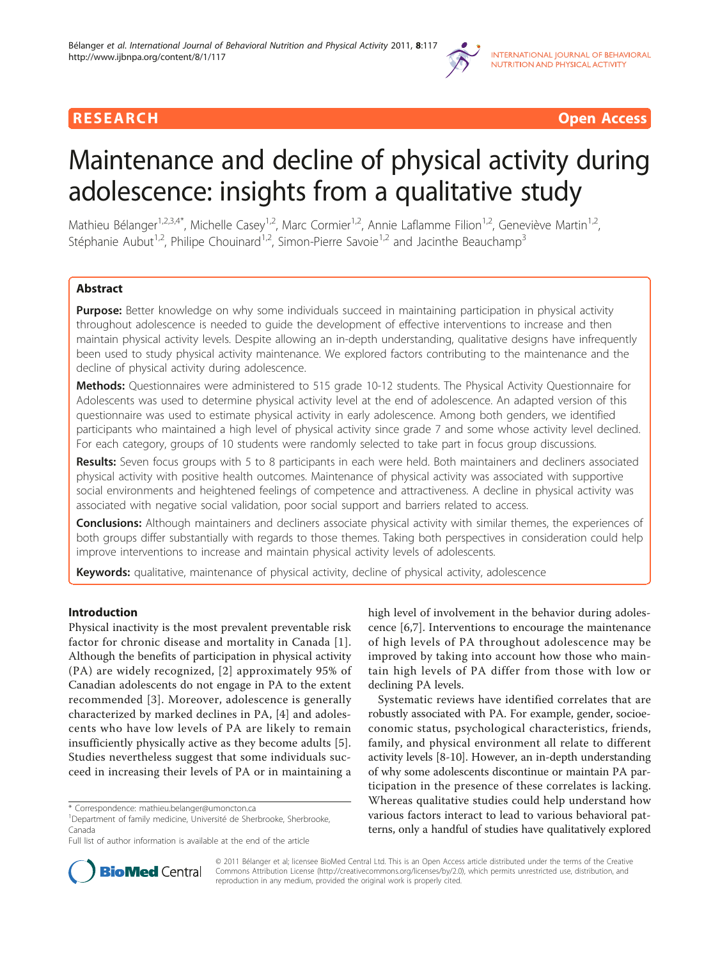

**RESEARCH Open Access** 

# Maintenance and decline of physical activity during adolescence: insights from a qualitative study

Mathieu Bélanger<sup>1,2,3,4\*</sup>, Michelle Casey<sup>1,2</sup>, Marc Cormier<sup>1,2</sup>, Annie Laflamme Filion<sup>1,2</sup>, Geneviève Martin<sup>1,2</sup>, Stéphanie Aubut<sup>1,2</sup>, Philipe Chouinard<sup>1,2</sup>, Simon-Pierre Savoie<sup>1,2</sup> and Jacinthe Beauchamp<sup>3</sup>

# Abstract

Purpose: Better knowledge on why some individuals succeed in maintaining participation in physical activity throughout adolescence is needed to guide the development of effective interventions to increase and then maintain physical activity levels. Despite allowing an in-depth understanding, qualitative designs have infrequently been used to study physical activity maintenance. We explored factors contributing to the maintenance and the decline of physical activity during adolescence.

Methods: Questionnaires were administered to 515 grade 10-12 students. The Physical Activity Questionnaire for Adolescents was used to determine physical activity level at the end of adolescence. An adapted version of this questionnaire was used to estimate physical activity in early adolescence. Among both genders, we identified participants who maintained a high level of physical activity since grade 7 and some whose activity level declined. For each category, groups of 10 students were randomly selected to take part in focus group discussions.

Results: Seven focus groups with 5 to 8 participants in each were held. Both maintainers and decliners associated physical activity with positive health outcomes. Maintenance of physical activity was associated with supportive social environments and heightened feelings of competence and attractiveness. A decline in physical activity was associated with negative social validation, poor social support and barriers related to access.

Conclusions: Although maintainers and decliners associate physical activity with similar themes, the experiences of both groups differ substantially with regards to those themes. Taking both perspectives in consideration could help improve interventions to increase and maintain physical activity levels of adolescents.

Keywords: qualitative, maintenance of physical activity, decline of physical activity, adolescence

# Introduction

Physical inactivity is the most prevalent preventable risk factor for chronic disease and mortality in Canada [[1\]](#page-7-0). Although the benefits of participation in physical activity (PA) are widely recognized, [[2](#page-7-0)] approximately 95% of Canadian adolescents do not engage in PA to the extent recommended [[3](#page-7-0)]. Moreover, adolescence is generally characterized by marked declines in PA, [\[4](#page-7-0)] and adolescents who have low levels of PA are likely to remain insufficiently physically active as they become adults [[5](#page-7-0)]. Studies nevertheless suggest that some individuals succeed in increasing their levels of PA or in maintaining a

high level of involvement in the behavior during adolescence [\[6,7](#page-7-0)]. Interventions to encourage the maintenance of high levels of PA throughout adolescence may be improved by taking into account how those who maintain high levels of PA differ from those with low or declining PA levels.

Systematic reviews have identified correlates that are robustly associated with PA. For example, gender, socioeconomic status, psychological characteristics, friends, family, and physical environment all relate to different activity levels [[8-10](#page-7-0)]. However, an in-depth understanding of why some adolescents discontinue or maintain PA participation in the presence of these correlates is lacking. Whereas qualitative studies could help understand how various factors interact to lead to various behavioral patterns, only a handful of studies have qualitatively explored



© 2011 Bélanger et al; licensee BioMed Central Ltd. This is an Open Access article distributed under the terms of the Creative Commons Attribution License [\(http://creativecommons.org/licenses/by/2.0](http://creativecommons.org/licenses/by/2.0)), which permits unrestricted use, distribution, and reproduction in any medium, provided the original work is properly cited.

<sup>\*</sup> Correspondence: [mathieu.belanger@umoncton.ca](mailto:mathieu.belanger@umoncton.ca)

<sup>&</sup>lt;sup>1</sup>Department of family medicine, Université de Sherbrooke, Sherbrooke, Canada

Full list of author information is available at the end of the article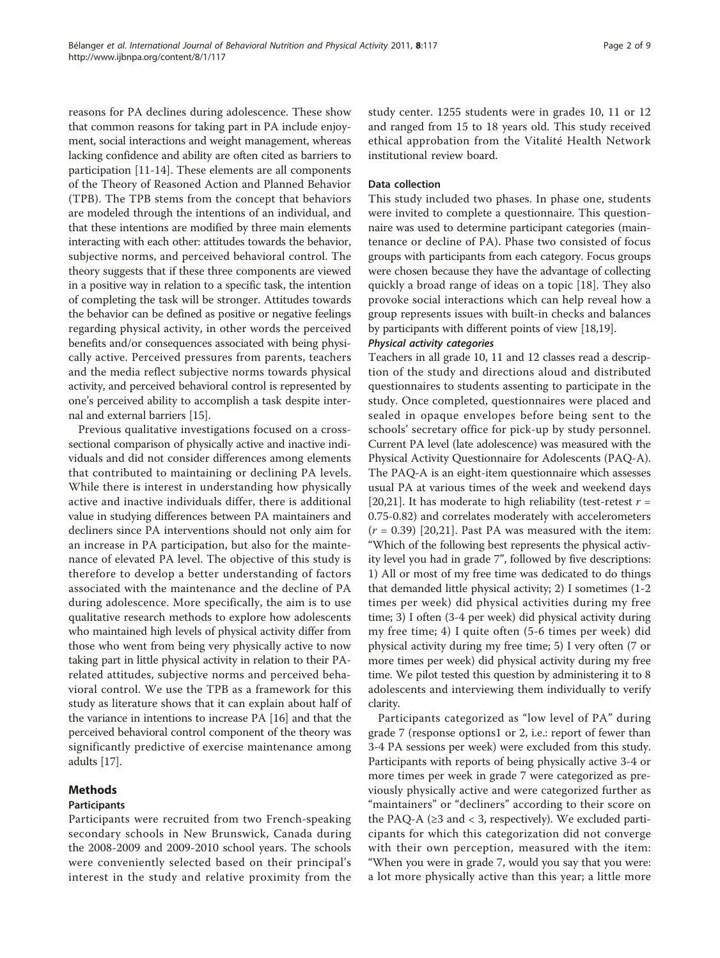reasons for PA declines during adolescence. These show that common reasons for taking part in PA include enjoyment, social interactions and weight management, whereas lacking confidence and ability are often cited as barriers to participation [[11](#page-7-0)-[14\]](#page-7-0). These elements are all components of the Theory of Reasoned Action and Planned Behavior (TPB). The TPB stems from the concept that behaviors are modeled through the intentions of an individual, and that these intentions are modified by three main elements interacting with each other: attitudes towards the behavior, subjective norms, and perceived behavioral control. The theory suggests that if these three components are viewed in a positive way in relation to a specific task, the intention of completing the task will be stronger. Attitudes towards the behavior can be defined as positive or negative feelings regarding physical activity, in other words the perceived benefits and/or consequences associated with being physically active. Perceived pressures from parents, teachers and the media reflect subjective norms towards physical activity, and perceived behavioral control is represented by one's perceived ability to accomplish a task despite internal and external barriers [[15](#page-7-0)].

Previous qualitative investigations focused on a crosssectional comparison of physically active and inactive individuals and did not consider differences among elements that contributed to maintaining or declining PA levels. While there is interest in understanding how physically active and inactive individuals differ, there is additional value in studying differences between PA maintainers and decliners since PA interventions should not only aim for an increase in PA participation, but also for the maintenance of elevated PA level. The objective of this study is therefore to develop a better understanding of factors associated with the maintenance and the decline of PA during adolescence. More specifically, the aim is to use qualitative research methods to explore how adolescents who maintained high levels of physical activity differ from those who went from being very physically active to now taking part in little physical activity in relation to their PArelated attitudes, subjective norms and perceived behavioral control. We use the TPB as a framework for this study as literature shows that it can explain about half of the variance in intentions to increase PA [\[16\]](#page-7-0) and that the perceived behavioral control component of the theory was significantly predictive of exercise maintenance among adults [\[17\]](#page-8-0).

# Methods

# **Participants**

Participants were recruited from two French-speaking secondary schools in New Brunswick, Canada during the 2008-2009 and 2009-2010 school years. The schools were conveniently selected based on their principal's interest in the study and relative proximity from the study center. 1255 students were in grades 10, 11 or 12 and ranged from 15 to 18 years old. This study received ethical approbation from the Vitalité Health Network institutional review board.

### Data collection

This study included two phases. In phase one, students were invited to complete a questionnaire. This questionnaire was used to determine participant categories (maintenance or decline of PA). Phase two consisted of focus groups with participants from each category. Focus groups were chosen because they have the advantage of collecting quickly a broad range of ideas on a topic [\[18](#page-8-0)]. They also provoke social interactions which can help reveal how a group represents issues with built-in checks and balances by participants with different points of view [[18,19\]](#page-8-0).

Teachers in all grade 10, 11 and 12 classes read a description of the study and directions aloud and distributed questionnaires to students assenting to participate in the study. Once completed, questionnaires were placed and sealed in opaque envelopes before being sent to the schools' secretary office for pick-up by study personnel. Current PA level (late adolescence) was measured with the Physical Activity Questionnaire for Adolescents (PAQ-A). The PAQ-A is an eight-item questionnaire which assesses usual PA at various times of the week and weekend days [[20,21\]](#page-8-0). It has moderate to high reliability (test-retest  $r =$ 0.75-0.82) and correlates moderately with accelerometers  $(r = 0.39)$  [[20,21](#page-8-0)]. Past PA was measured with the item: "Which of the following best represents the physical activity level you had in grade 7", followed by five descriptions: 1) All or most of my free time was dedicated to do things that demanded little physical activity; 2) I sometimes (1-2 times per week) did physical activities during my free time; 3) I often (3-4 per week) did physical activity during my free time; 4) I quite often (5-6 times per week) did physical activity during my free time; 5) I very often (7 or more times per week) did physical activity during my free time. We pilot tested this question by administering it to 8 adolescents and interviewing them individually to verify clarity.

Participants categorized as "low level of PA" during grade 7 (response options1 or 2, i.e.: report of fewer than 3-4 PA sessions per week) were excluded from this study. Participants with reports of being physically active 3-4 or more times per week in grade 7 were categorized as previously physically active and were categorized further as "maintainers" or "decliners" according to their score on the PAQ-A ( $\geq$ 3 and < 3, respectively). We excluded participants for which this categorization did not converge with their own perception, measured with the item: "When you were in grade 7, would you say that you were: a lot more physically active than this year; a little more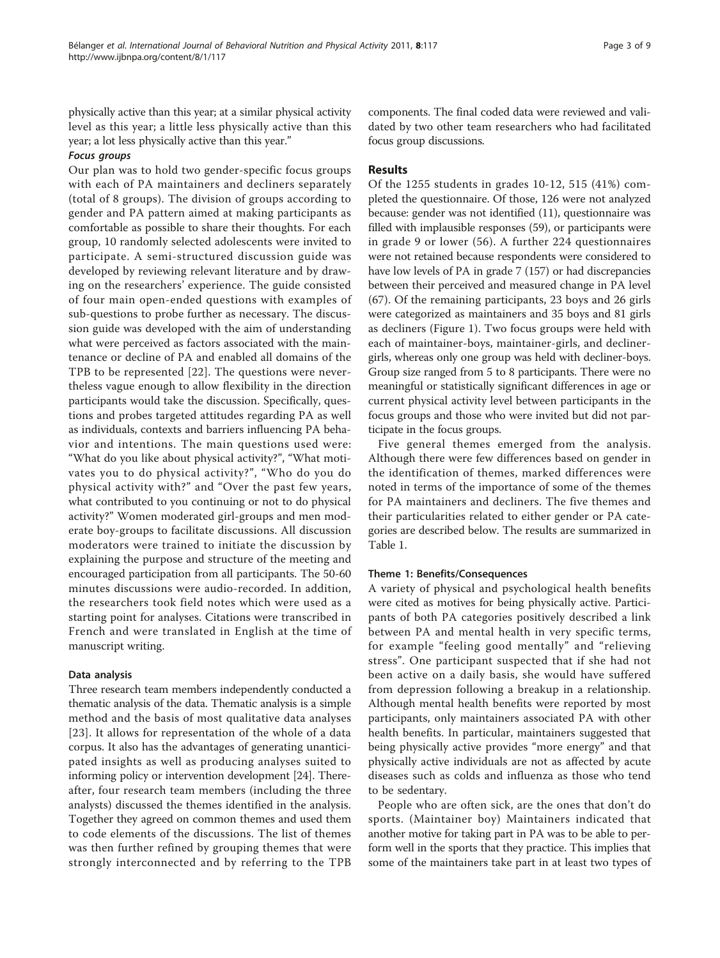physically active than this year; at a similar physical activity level as this year; a little less physically active than this year; a lot less physically active than this year."

Our plan was to hold two gender-specific focus groups with each of PA maintainers and decliners separately (total of 8 groups). The division of groups according to gender and PA pattern aimed at making participants as comfortable as possible to share their thoughts. For each group, 10 randomly selected adolescents were invited to participate. A semi-structured discussion guide was developed by reviewing relevant literature and by drawing on the researchers' experience. The guide consisted of four main open-ended questions with examples of sub-questions to probe further as necessary. The discussion guide was developed with the aim of understanding what were perceived as factors associated with the maintenance or decline of PA and enabled all domains of the TPB to be represented [[22\]](#page-8-0). The questions were nevertheless vague enough to allow flexibility in the direction participants would take the discussion. Specifically, questions and probes targeted attitudes regarding PA as well as individuals, contexts and barriers influencing PA behavior and intentions. The main questions used were: "What do you like about physical activity?", "What motivates you to do physical activity?", "Who do you do physical activity with?" and "Over the past few years, what contributed to you continuing or not to do physical activity?" Women moderated girl-groups and men moderate boy-groups to facilitate discussions. All discussion moderators were trained to initiate the discussion by explaining the purpose and structure of the meeting and encouraged participation from all participants. The 50-60 minutes discussions were audio-recorded. In addition, the researchers took field notes which were used as a starting point for analyses. Citations were transcribed in French and were translated in English at the time of manuscript writing.

#### Data analysis

Three research team members independently conducted a thematic analysis of the data. Thematic analysis is a simple method and the basis of most qualitative data analyses [[23](#page-8-0)]. It allows for representation of the whole of a data corpus. It also has the advantages of generating unanticipated insights as well as producing analyses suited to informing policy or intervention development [[24](#page-8-0)]. Thereafter, four research team members (including the three analysts) discussed the themes identified in the analysis. Together they agreed on common themes and used them to code elements of the discussions. The list of themes was then further refined by grouping themes that were strongly interconnected and by referring to the TPB components. The final coded data were reviewed and validated by two other team researchers who had facilitated focus group discussions.

# Results

Of the 1255 students in grades 10-12, 515 (41%) completed the questionnaire. Of those, 126 were not analyzed because: gender was not identified (11), questionnaire was filled with implausible responses (59), or participants were in grade 9 or lower (56). A further 224 questionnaires were not retained because respondents were considered to have low levels of PA in grade 7 (157) or had discrepancies between their perceived and measured change in PA level (67). Of the remaining participants, 23 boys and 26 girls were categorized as maintainers and 35 boys and 81 girls as decliners (Figure [1](#page-3-0)). Two focus groups were held with each of maintainer-boys, maintainer-girls, and declinergirls, whereas only one group was held with decliner-boys. Group size ranged from 5 to 8 participants. There were no meaningful or statistically significant differences in age or current physical activity level between participants in the focus groups and those who were invited but did not participate in the focus groups.

Five general themes emerged from the analysis. Although there were few differences based on gender in the identification of themes, marked differences were noted in terms of the importance of some of the themes for PA maintainers and decliners. The five themes and their particularities related to either gender or PA categories are described below. The results are summarized in Table [1.](#page-3-0)

#### Theme 1: Benefits/Consequences

A variety of physical and psychological health benefits were cited as motives for being physically active. Participants of both PA categories positively described a link between PA and mental health in very specific terms, for example "feeling good mentally" and "relieving stress". One participant suspected that if she had not been active on a daily basis, she would have suffered from depression following a breakup in a relationship. Although mental health benefits were reported by most participants, only maintainers associated PA with other health benefits. In particular, maintainers suggested that being physically active provides "more energy" and that physically active individuals are not as affected by acute diseases such as colds and influenza as those who tend to be sedentary.

People who are often sick, are the ones that don't do sports. (Maintainer boy) Maintainers indicated that another motive for taking part in PA was to be able to perform well in the sports that they practice. This implies that some of the maintainers take part in at least two types of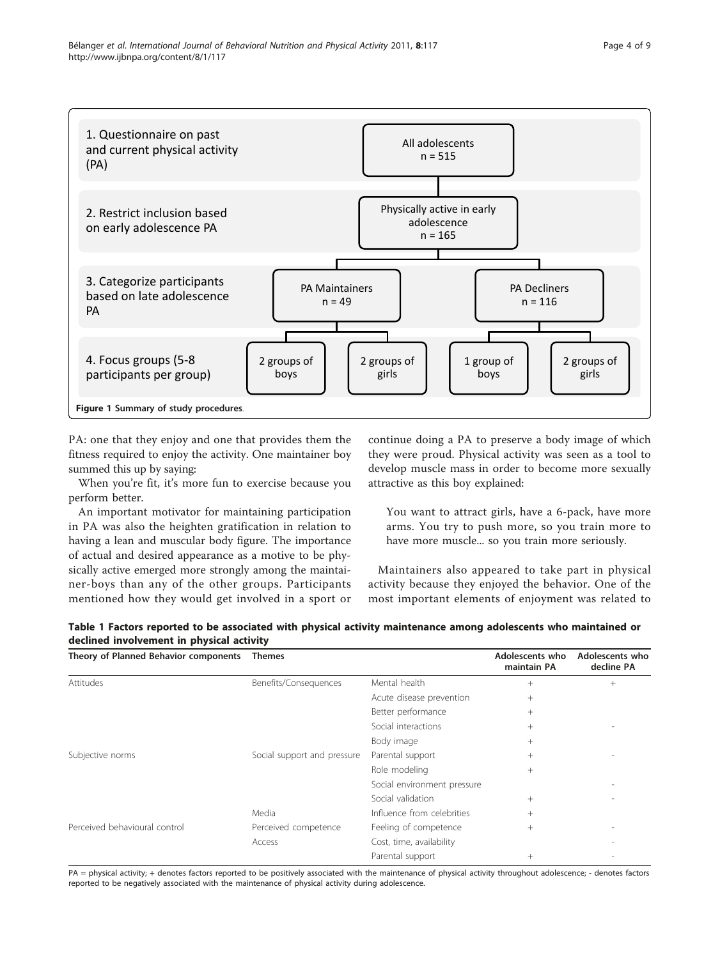<span id="page-3-0"></span>

PA: one that they enjoy and one that provides them the fitness required to enjoy the activity. One maintainer boy summed this up by saying:

When you're fit, it's more fun to exercise because you perform better.

An important motivator for maintaining participation in PA was also the heighten gratification in relation to having a lean and muscular body figure. The importance of actual and desired appearance as a motive to be physically active emerged more strongly among the maintainer-boys than any of the other groups. Participants mentioned how they would get involved in a sport or

continue doing a PA to preserve a body image of which they were proud. Physical activity was seen as a tool to develop muscle mass in order to become more sexually attractive as this boy explained:

You want to attract girls, have a 6-pack, have more arms. You try to push more, so you train more to have more muscle... so you train more seriously.

Maintainers also appeared to take part in physical activity because they enjoyed the behavior. One of the most important elements of enjoyment was related to

|  | Table 1 Factors reported to be associated with physical activity maintenance among adolescents who maintained or |  |  |  |  |
|--|------------------------------------------------------------------------------------------------------------------|--|--|--|--|
|  | declined involvement in physical activity                                                                        |  |  |  |  |

| Theory of Planned Behavior components | <b>Themes</b>               |                             | Adolescents who<br>maintain PA | Adolescents who<br>decline PA |  |
|---------------------------------------|-----------------------------|-----------------------------|--------------------------------|-------------------------------|--|
| Attitudes                             | Benefits/Consequences       | Mental health               | $^{+}$                         | $^{+}$                        |  |
|                                       |                             | Acute disease prevention    | $^{+}$                         |                               |  |
|                                       |                             | Better performance          | $^{+}$                         |                               |  |
|                                       |                             | Social interactions         | $^{+}$                         |                               |  |
|                                       |                             | Body image                  | $^{+}$                         |                               |  |
| Subjective norms                      | Social support and pressure | Parental support            | $^{+}$                         |                               |  |
|                                       |                             | Role modeling               | $^{+}$                         |                               |  |
|                                       |                             | Social environment pressure |                                |                               |  |
|                                       |                             | Social validation           | $^{+}$                         |                               |  |
|                                       | Media                       | Influence from celebrities  | $^{+}$                         |                               |  |
| Perceived behavioural control         | Perceived competence        | Feeling of competence       | $^{+}$                         |                               |  |
|                                       | Access                      | Cost, time, availability    |                                |                               |  |
|                                       |                             | Parental support            | $^+$                           |                               |  |

PA = physical activity; + denotes factors reported to be positively associated with the maintenance of physical activity throughout adolescence; - denotes factors reported to be negatively associated with the maintenance of physical activity during adolescence.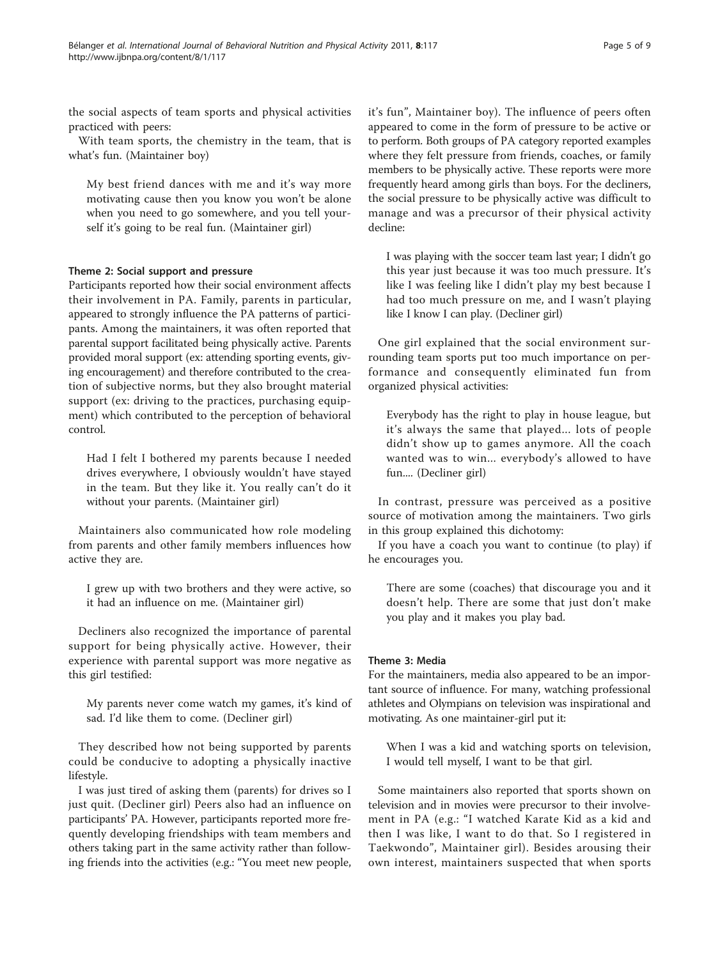the social aspects of team sports and physical activities practiced with peers:

With team sports, the chemistry in the team, that is what's fun. (Maintainer boy)

My best friend dances with me and it's way more motivating cause then you know you won't be alone when you need to go somewhere, and you tell yourself it's going to be real fun. (Maintainer girl)

# Theme 2: Social support and pressure

Participants reported how their social environment affects their involvement in PA. Family, parents in particular, appeared to strongly influence the PA patterns of participants. Among the maintainers, it was often reported that parental support facilitated being physically active. Parents provided moral support (ex: attending sporting events, giving encouragement) and therefore contributed to the creation of subjective norms, but they also brought material support (ex: driving to the practices, purchasing equipment) which contributed to the perception of behavioral control.

Had I felt I bothered my parents because I needed drives everywhere, I obviously wouldn't have stayed in the team. But they like it. You really can't do it without your parents. (Maintainer girl)

Maintainers also communicated how role modeling from parents and other family members influences how active they are.

I grew up with two brothers and they were active, so it had an influence on me. (Maintainer girl)

Decliners also recognized the importance of parental support for being physically active. However, their experience with parental support was more negative as this girl testified:

My parents never come watch my games, it's kind of sad. I'd like them to come. (Decliner girl)

They described how not being supported by parents could be conducive to adopting a physically inactive lifestyle.

I was just tired of asking them (parents) for drives so I just quit. (Decliner girl) Peers also had an influence on participants' PA. However, participants reported more frequently developing friendships with team members and others taking part in the same activity rather than following friends into the activities (e.g.: "You meet new people, it's fun", Maintainer boy). The influence of peers often appeared to come in the form of pressure to be active or to perform. Both groups of PA category reported examples where they felt pressure from friends, coaches, or family members to be physically active. These reports were more frequently heard among girls than boys. For the decliners, the social pressure to be physically active was difficult to manage and was a precursor of their physical activity decline:

I was playing with the soccer team last year; I didn't go this year just because it was too much pressure. It's like I was feeling like I didn't play my best because I had too much pressure on me, and I wasn't playing like I know I can play. (Decliner girl)

One girl explained that the social environment surrounding team sports put too much importance on performance and consequently eliminated fun from organized physical activities:

Everybody has the right to play in house league, but it's always the same that played... lots of people didn't show up to games anymore. All the coach wanted was to win... everybody's allowed to have fun.... (Decliner girl)

In contrast, pressure was perceived as a positive source of motivation among the maintainers. Two girls in this group explained this dichotomy:

If you have a coach you want to continue (to play) if he encourages you.

There are some (coaches) that discourage you and it doesn't help. There are some that just don't make you play and it makes you play bad.

# Theme 3: Media

For the maintainers, media also appeared to be an important source of influence. For many, watching professional athletes and Olympians on television was inspirational and motivating. As one maintainer-girl put it:

When I was a kid and watching sports on television, I would tell myself, I want to be that girl.

Some maintainers also reported that sports shown on television and in movies were precursor to their involvement in PA (e.g.: "I watched Karate Kid as a kid and then I was like, I want to do that. So I registered in Taekwondo", Maintainer girl). Besides arousing their own interest, maintainers suspected that when sports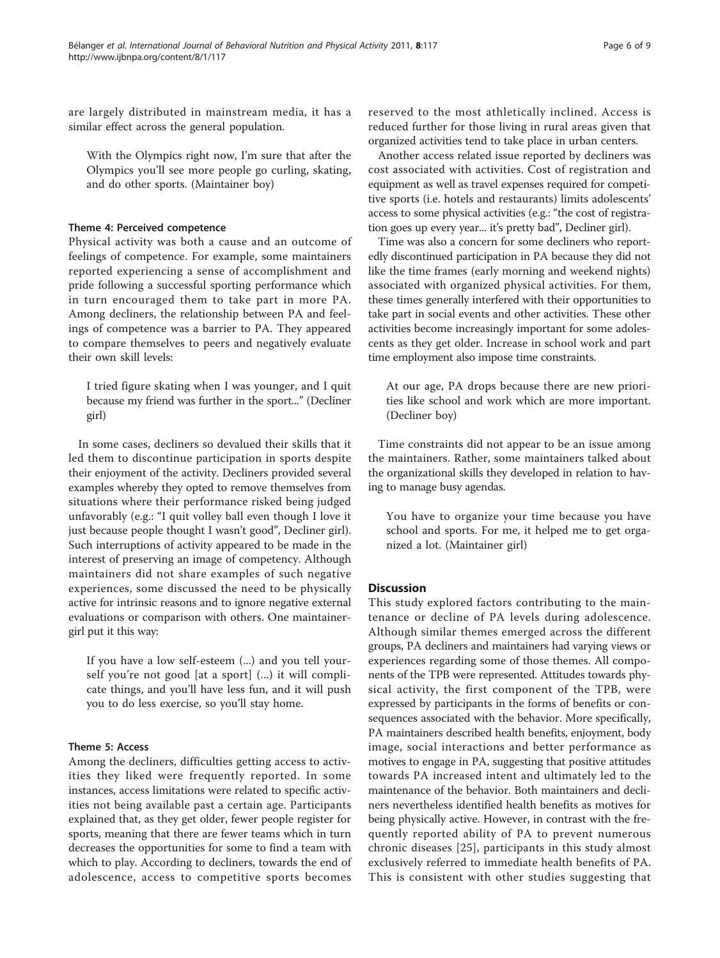are largely distributed in mainstream media, it has a similar effect across the general population.

With the Olympics right now, I'm sure that after the Olympics you'll see more people go curling, skating, and do other sports. (Maintainer boy)

### Theme 4: Perceived competence

Physical activity was both a cause and an outcome of feelings of competence. For example, some maintainers reported experiencing a sense of accomplishment and pride following a successful sporting performance which in turn encouraged them to take part in more PA. Among decliners, the relationship between PA and feelings of competence was a barrier to PA. They appeared to compare themselves to peers and negatively evaluate their own skill levels:

I tried figure skating when I was younger, and I quit because my friend was further in the sport..." (Decliner girl)

In some cases, decliners so devalued their skills that it led them to discontinue participation in sports despite their enjoyment of the activity. Decliners provided several examples whereby they opted to remove themselves from situations where their performance risked being judged unfavorably (e.g.: "I quit volley ball even though I love it just because people thought I wasn't good", Decliner girl). Such interruptions of activity appeared to be made in the interest of preserving an image of competency. Although maintainers did not share examples of such negative experiences, some discussed the need to be physically active for intrinsic reasons and to ignore negative external evaluations or comparison with others. One maintainergirl put it this way:

If you have a low self-esteem (...) and you tell yourself you're not good [at a sport] (...) it will complicate things, and you'll have less fun, and it will push you to do less exercise, so you'll stay home.

# Theme 5: Access

Among the decliners, difficulties getting access to activities they liked were frequently reported. In some instances, access limitations were related to specific activities not being available past a certain age. Participants explained that, as they get older, fewer people register for sports, meaning that there are fewer teams which in turn decreases the opportunities for some to find a team with which to play. According to decliners, towards the end of adolescence, access to competitive sports becomes

reserved to the most athletically inclined. Access is reduced further for those living in rural areas given that organized activities tend to take place in urban centers.

Another access related issue reported by decliners was cost associated with activities. Cost of registration and equipment as well as travel expenses required for competitive sports (i.e. hotels and restaurants) limits adolescents' access to some physical activities (e.g.: "the cost of registration goes up every year... it's pretty bad", Decliner girl).

Time was also a concern for some decliners who reportedly discontinued participation in PA because they did not like the time frames (early morning and weekend nights) associated with organized physical activities. For them, these times generally interfered with their opportunities to take part in social events and other activities. These other activities become increasingly important for some adolescents as they get older. Increase in school work and part time employment also impose time constraints.

At our age, PA drops because there are new priorities like school and work which are more important. (Decliner boy)

Time constraints did not appear to be an issue among the maintainers. Rather, some maintainers talked about the organizational skills they developed in relation to having to manage busy agendas.

You have to organize your time because you have school and sports. For me, it helped me to get organized a lot. (Maintainer girl)

# **Discussion**

This study explored factors contributing to the maintenance or decline of PA levels during adolescence. Although similar themes emerged across the different groups, PA decliners and maintainers had varying views or experiences regarding some of those themes. All components of the TPB were represented. Attitudes towards physical activity, the first component of the TPB, were expressed by participants in the forms of benefits or consequences associated with the behavior. More specifically, PA maintainers described health benefits, enjoyment, body image, social interactions and better performance as motives to engage in PA, suggesting that positive attitudes towards PA increased intent and ultimately led to the maintenance of the behavior. Both maintainers and decliners nevertheless identified health benefits as motives for being physically active. However, in contrast with the frequently reported ability of PA to prevent numerous chronic diseases [[25](#page-8-0)], participants in this study almost exclusively referred to immediate health benefits of PA. This is consistent with other studies suggesting that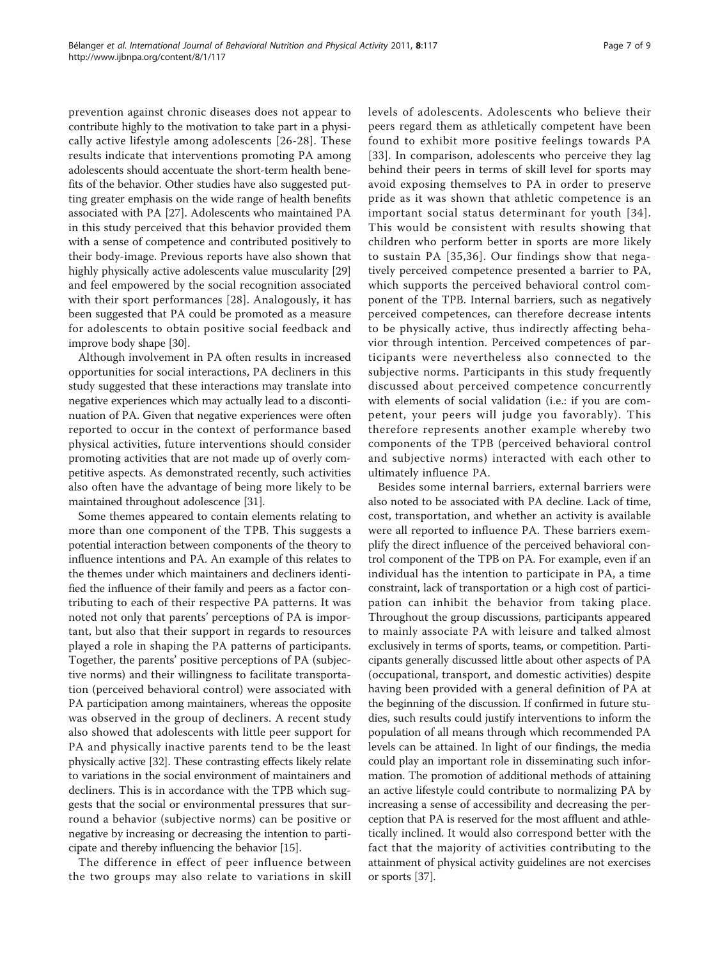prevention against chronic diseases does not appear to contribute highly to the motivation to take part in a physically active lifestyle among adolescents [[26-28](#page-8-0)]. These results indicate that interventions promoting PA among adolescents should accentuate the short-term health benefits of the behavior. Other studies have also suggested putting greater emphasis on the wide range of health benefits associated with PA [[27\]](#page-8-0). Adolescents who maintained PA in this study perceived that this behavior provided them with a sense of competence and contributed positively to their body-image. Previous reports have also shown that highly physically active adolescents value muscularity [[29](#page-8-0)] and feel empowered by the social recognition associated with their sport performances [[28\]](#page-8-0). Analogously, it has been suggested that PA could be promoted as a measure for adolescents to obtain positive social feedback and improve body shape [[30](#page-8-0)].

Although involvement in PA often results in increased opportunities for social interactions, PA decliners in this study suggested that these interactions may translate into negative experiences which may actually lead to a discontinuation of PA. Given that negative experiences were often reported to occur in the context of performance based physical activities, future interventions should consider promoting activities that are not made up of overly competitive aspects. As demonstrated recently, such activities also often have the advantage of being more likely to be maintained throughout adolescence [[31](#page-8-0)].

Some themes appeared to contain elements relating to more than one component of the TPB. This suggests a potential interaction between components of the theory to influence intentions and PA. An example of this relates to the themes under which maintainers and decliners identified the influence of their family and peers as a factor contributing to each of their respective PA patterns. It was noted not only that parents' perceptions of PA is important, but also that their support in regards to resources played a role in shaping the PA patterns of participants. Together, the parents' positive perceptions of PA (subjective norms) and their willingness to facilitate transportation (perceived behavioral control) were associated with PA participation among maintainers, whereas the opposite was observed in the group of decliners. A recent study also showed that adolescents with little peer support for PA and physically inactive parents tend to be the least physically active [\[32\]](#page-8-0). These contrasting effects likely relate to variations in the social environment of maintainers and decliners. This is in accordance with the TPB which suggests that the social or environmental pressures that surround a behavior (subjective norms) can be positive or negative by increasing or decreasing the intention to participate and thereby influencing the behavior [[15](#page-7-0)].

The difference in effect of peer influence between the two groups may also relate to variations in skill levels of adolescents. Adolescents who believe their peers regard them as athletically competent have been found to exhibit more positive feelings towards PA [[33](#page-8-0)]. In comparison, adolescents who perceive they lag behind their peers in terms of skill level for sports may avoid exposing themselves to PA in order to preserve pride as it was shown that athletic competence is an important social status determinant for youth [[34\]](#page-8-0). This would be consistent with results showing that children who perform better in sports are more likely to sustain PA [[35](#page-8-0),[36](#page-8-0)]. Our findings show that negatively perceived competence presented a barrier to PA, which supports the perceived behavioral control component of the TPB. Internal barriers, such as negatively perceived competences, can therefore decrease intents to be physically active, thus indirectly affecting behavior through intention. Perceived competences of participants were nevertheless also connected to the subjective norms. Participants in this study frequently discussed about perceived competence concurrently with elements of social validation (i.e.: if you are competent, your peers will judge you favorably). This therefore represents another example whereby two components of the TPB (perceived behavioral control and subjective norms) interacted with each other to ultimately influence PA.

Besides some internal barriers, external barriers were also noted to be associated with PA decline. Lack of time, cost, transportation, and whether an activity is available were all reported to influence PA. These barriers exemplify the direct influence of the perceived behavioral control component of the TPB on PA. For example, even if an individual has the intention to participate in PA, a time constraint, lack of transportation or a high cost of participation can inhibit the behavior from taking place. Throughout the group discussions, participants appeared to mainly associate PA with leisure and talked almost exclusively in terms of sports, teams, or competition. Participants generally discussed little about other aspects of PA (occupational, transport, and domestic activities) despite having been provided with a general definition of PA at the beginning of the discussion. If confirmed in future studies, such results could justify interventions to inform the population of all means through which recommended PA levels can be attained. In light of our findings, the media could play an important role in disseminating such information. The promotion of additional methods of attaining an active lifestyle could contribute to normalizing PA by increasing a sense of accessibility and decreasing the perception that PA is reserved for the most affluent and athletically inclined. It would also correspond better with the fact that the majority of activities contributing to the attainment of physical activity guidelines are not exercises or sports [[37](#page-8-0)].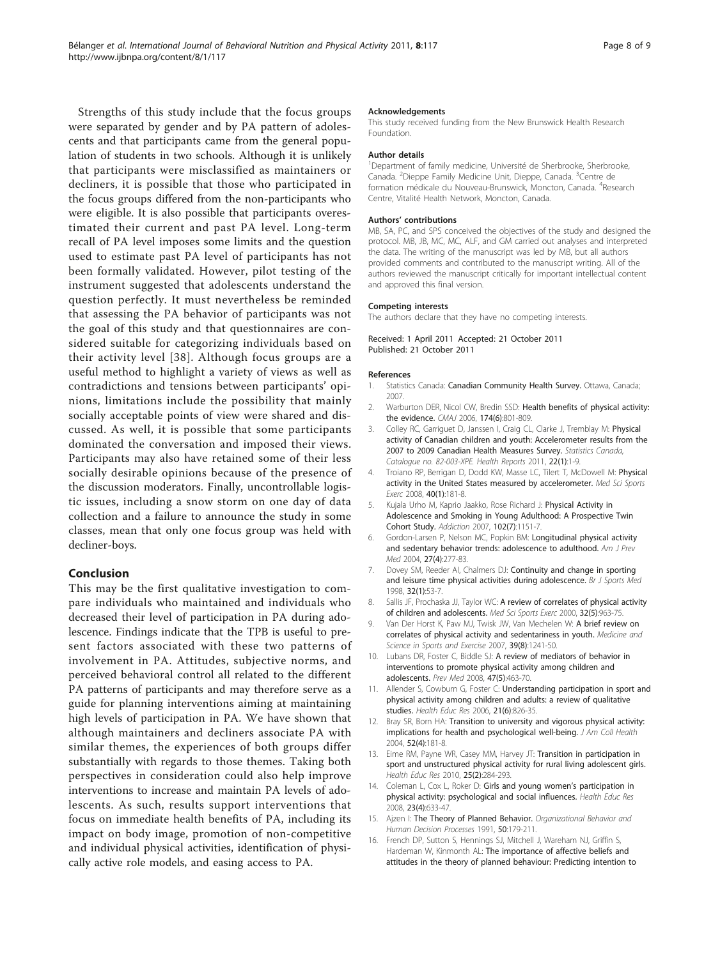<span id="page-7-0"></span>Strengths of this study include that the focus groups were separated by gender and by PA pattern of adolescents and that participants came from the general population of students in two schools. Although it is unlikely that participants were misclassified as maintainers or decliners, it is possible that those who participated in the focus groups differed from the non-participants who were eligible. It is also possible that participants overestimated their current and past PA level. Long-term recall of PA level imposes some limits and the question used to estimate past PA level of participants has not been formally validated. However, pilot testing of the instrument suggested that adolescents understand the question perfectly. It must nevertheless be reminded that assessing the PA behavior of participants was not the goal of this study and that questionnaires are considered suitable for categorizing individuals based on their activity level [[38](#page-8-0)]. Although focus groups are a useful method to highlight a variety of views as well as contradictions and tensions between participants' opinions, limitations include the possibility that mainly socially acceptable points of view were shared and discussed. As well, it is possible that some participants dominated the conversation and imposed their views. Participants may also have retained some of their less socially desirable opinions because of the presence of the discussion moderators. Finally, uncontrollable logistic issues, including a snow storm on one day of data collection and a failure to announce the study in some classes, mean that only one focus group was held with decliner-boys.

#### Conclusion

This may be the first qualitative investigation to compare individuals who maintained and individuals who decreased their level of participation in PA during adolescence. Findings indicate that the TPB is useful to present factors associated with these two patterns of involvement in PA. Attitudes, subjective norms, and perceived behavioral control all related to the different PA patterns of participants and may therefore serve as a guide for planning interventions aiming at maintaining high levels of participation in PA. We have shown that although maintainers and decliners associate PA with similar themes, the experiences of both groups differ substantially with regards to those themes. Taking both perspectives in consideration could also help improve interventions to increase and maintain PA levels of adolescents. As such, results support interventions that focus on immediate health benefits of PA, including its impact on body image, promotion of non-competitive and individual physical activities, identification of physically active role models, and easing access to PA.

#### Acknowledgements

This study received funding from the New Brunswick Health Research Foundation.

#### Author details

<sup>1</sup>Department of family medicine, Université de Sherbrooke, Sherbrooke Canada. <sup>2</sup>Dieppe Family Medicine Unit, Dieppe, Canada. <sup>3</sup>Centre de formation médicale du Nouveau-Brunswick, Moncton, Canada. <sup>4</sup>Research Centre, Vitalité Health Network, Moncton, Canada.

#### Authors' contributions

MB, SA, PC, and SPS conceived the objectives of the study and designed the protocol. MB, JB, MC, MC, ALF, and GM carried out analyses and interpreted the data. The writing of the manuscript was led by MB, but all authors provided comments and contributed to the manuscript writing. All of the authors reviewed the manuscript critically for important intellectual content and approved this final version.

#### Competing interests

The authors declare that they have no competing interests.

Received: 1 April 2011 Accepted: 21 October 2011 Published: 21 October 2011

#### References

- 1. Statistics Canada: Canadian Community Health Survey. Ottawa, Canada; 2007.
- 2. Warburton DER, Nicol CW, Bredin SSD: [Health benefits of physical activity:](http://www.ncbi.nlm.nih.gov/pubmed/16534088?dopt=Abstract) [the evidence.](http://www.ncbi.nlm.nih.gov/pubmed/16534088?dopt=Abstract) CMAJ 2006, 174(6):801-809.
- 3. Colley RC, Garriguet D, Janssen I, Craig CL, Clarke J, Tremblay M: Physical activity of Canadian children and youth: Accelerometer results from the 2007 to 2009 Canadian Health Measures Survey. Statistics Canada, Catalogue no. 82-003-XPE. Health Reports 2011, 22(1):1-9.
- 4. Troiano RP, Berrigan D, Dodd KW, Masse LC, Tilert T, McDowell M: [Physical](http://www.ncbi.nlm.nih.gov/pubmed/18091006?dopt=Abstract) [activity in the United States measured by accelerometer.](http://www.ncbi.nlm.nih.gov/pubmed/18091006?dopt=Abstract) Med Sci Sports Exerc 2008, 40(1):181-8.
- 5. Kujala Urho M, Kaprio Jaakko, Rose Richard J: [Physical Activity in](http://www.ncbi.nlm.nih.gov/pubmed/17567404?dopt=Abstract) [Adolescence and Smoking in Young Adulthood: A Prospective Twin](http://www.ncbi.nlm.nih.gov/pubmed/17567404?dopt=Abstract) [Cohort Study.](http://www.ncbi.nlm.nih.gov/pubmed/17567404?dopt=Abstract) Addiction 2007, 102(7):1151-7.
- 6. Gordon-Larsen P, Nelson MC, Popkin BM: [Longitudinal physical activity](http://www.ncbi.nlm.nih.gov/pubmed/15488356?dopt=Abstract) [and sedentary behavior trends: adolescence to adulthood.](http://www.ncbi.nlm.nih.gov/pubmed/15488356?dopt=Abstract) Am J Prev Med 2004, 27(4):277-83.
- 7. Dovey SM, Reeder AI, Chalmers DJ: [Continuity and change in sporting](http://www.ncbi.nlm.nih.gov/pubmed/9562165?dopt=Abstract) [and leisure time physical activities during adolescence.](http://www.ncbi.nlm.nih.gov/pubmed/9562165?dopt=Abstract) Br J Sports Med 1998, 32(1):53-7.
- 8. Sallis JF, Prochaska JJ, Taylor WC: [A review of correlates of physical activity](http://www.ncbi.nlm.nih.gov/pubmed/10795788?dopt=Abstract) [of children and adolescents.](http://www.ncbi.nlm.nih.gov/pubmed/10795788?dopt=Abstract) Med Sci Sports Exerc 2000, 32(5):963-75.
- 9. Van Der Horst K, Paw MJ, Twisk JW, Van Mechelen W: [A brief review on](http://www.ncbi.nlm.nih.gov/pubmed/17762356?dopt=Abstract) [correlates of physical activity and sedentariness in youth.](http://www.ncbi.nlm.nih.gov/pubmed/17762356?dopt=Abstract) Medicine and Science in Sports and Exercise 2007, 39(8):1241-50.
- 10. Lubans DR, Foster C, Biddle SJ: [A review of mediators of behavior in](http://www.ncbi.nlm.nih.gov/pubmed/18708086?dopt=Abstract) [interventions to promote physical activity among children and](http://www.ncbi.nlm.nih.gov/pubmed/18708086?dopt=Abstract) [adolescents.](http://www.ncbi.nlm.nih.gov/pubmed/18708086?dopt=Abstract) Prev Med 2008, 47(5):463-70.
- 11. Allender S, Cowburn G, Foster C: [Understanding participation in sport and](http://www.ncbi.nlm.nih.gov/pubmed/16857780?dopt=Abstract) [physical activity among children and adults: a review of qualitative](http://www.ncbi.nlm.nih.gov/pubmed/16857780?dopt=Abstract) [studies.](http://www.ncbi.nlm.nih.gov/pubmed/16857780?dopt=Abstract) Health Educ Res 2006, 21(6):826-35.
- 12. Bray SR, Born HA: [Transition to university and vigorous physical activity:](http://www.ncbi.nlm.nih.gov/pubmed/15018429?dopt=Abstract) [implications for health and psychological well-being.](http://www.ncbi.nlm.nih.gov/pubmed/15018429?dopt=Abstract) J Am Coll Health 2004, 52(4):181-8.
- 13. Eime RM, Payne WR, Casey MM, Harvey JT: Transition in participation in sport and unstructured physical activity for rural living adolescent girls. Health Educ Res 2010, 25(2):284-293.
- 14. Coleman L, Cox L, Roker D: [Girls and young women](http://www.ncbi.nlm.nih.gov/pubmed/17897930?dopt=Abstract)'s participation in [physical activity: psychological and social influences.](http://www.ncbi.nlm.nih.gov/pubmed/17897930?dopt=Abstract) Health Educ Res 2008, 23(4):633-47.
- 15. Aizen I: The Theory of Planned Behavior. Organizational Behavior and Human Decision Processes 1991, 50:179-211.
- 16. French DP, Sutton S, Hennings SJ, Mitchell J, Wareham NJ, Griffin S, Hardeman W, Kinmonth AL: The importance of affective beliefs and attitudes in the theory of planned behaviour: Predicting intention to